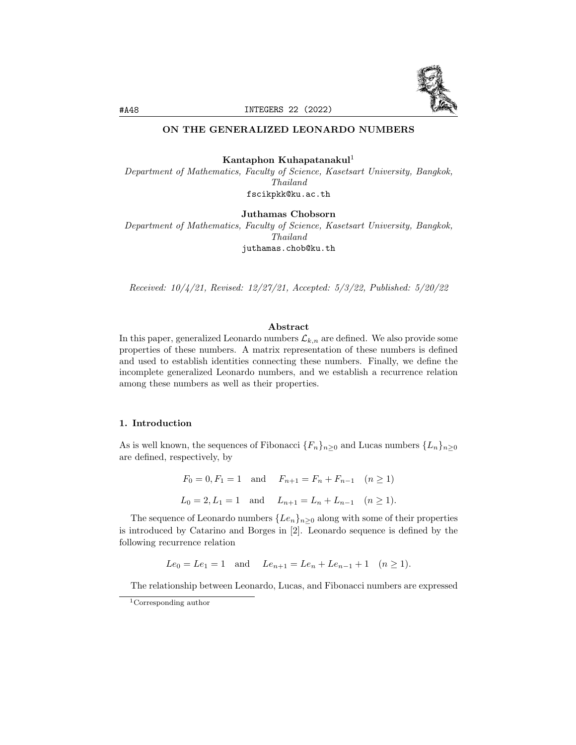

# ON THE GENERALIZED LEONARDO NUMBERS

# Kantaphon Kuhapatanakul<sup>1</sup>

Department of Mathematics, Faculty of Science, Kasetsart University, Bangkok, Thailand fscikpkk@ku.ac.th

Juthamas Chobsorn

Department of Mathematics, Faculty of Science, Kasetsart University, Bangkok, Thailand juthamas.chob@ku.th

Received: 10/4/21, Revised: 12/27/21, Accepted: 5/3/22, Published: 5/20/22

## Abstract

In this paper, generalized Leonardo numbers  $\mathcal{L}_{k,n}$  are defined. We also provide some properties of these numbers. A matrix representation of these numbers is defined and used to establish identities connecting these numbers. Finally, we define the incomplete generalized Leonardo numbers, and we establish a recurrence relation among these numbers as well as their properties.

#### 1. Introduction

As is well known, the sequences of Fibonacci  ${F_n}_{n>0}$  and Lucas numbers  ${L_n}_{n>0}$ are defined, respectively, by

$$
F_0 = 0, F_1 = 1
$$
 and  $F_{n+1} = F_n + F_{n-1}$   $(n \ge 1)$   
 $L_0 = 2, L_1 = 1$  and  $L_{n+1} = L_n + L_{n-1}$   $(n \ge 1)$ .

The sequence of Leonardo numbers  $\{Le_n\}_{n\geq 0}$  along with some of their properties is introduced by Catarino and Borges in [2]. Leonardo sequence is defined by the following recurrence relation

 $Le_0 = Le_1 = 1$  and  $Le_{n+1} = Le_n + Le_{n-1} + 1$   $(n \ge 1)$ .

The relationship between Leonardo, Lucas, and Fibonacci numbers are expressed

<sup>1</sup>Corresponding author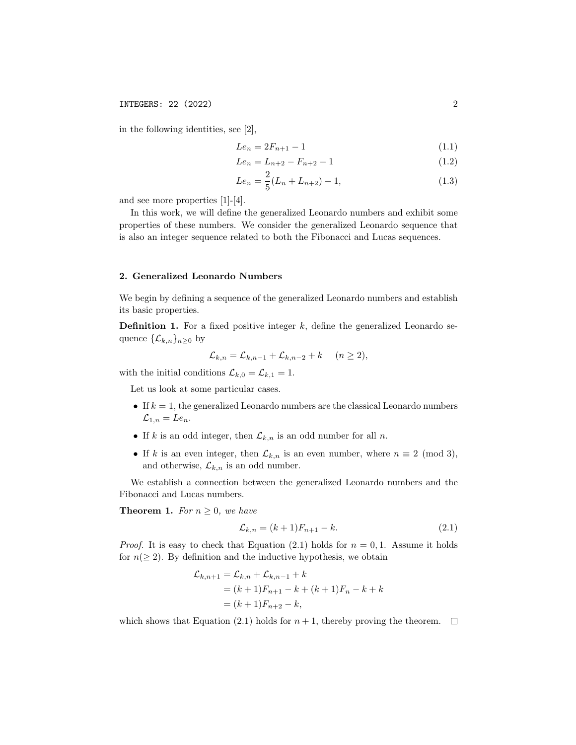in the following identities, see [2],

$$
Le_n = 2F_{n+1} - 1\tag{1.1}
$$

$$
Le_n = L_{n+2} - F_{n+2} - 1 \tag{1.2}
$$

$$
Le_n = \frac{2}{5}(L_n + L_{n+2}) - 1,\t\t(1.3)
$$

and see more properties [1]-[4].

In this work, we will define the generalized Leonardo numbers and exhibit some properties of these numbers. We consider the generalized Leonardo sequence that is also an integer sequence related to both the Fibonacci and Lucas sequences.

### 2. Generalized Leonardo Numbers

We begin by defining a sequence of the generalized Leonardo numbers and establish its basic properties.

**Definition 1.** For a fixed positive integer  $k$ , define the generalized Leonardo sequence  $\{\mathcal{L}_{k,n}\}_{n\geq 0}$  by

$$
\mathcal{L}_{k,n} = \mathcal{L}_{k,n-1} + \mathcal{L}_{k,n-2} + k \quad (n \ge 2),
$$

with the initial conditions  $\mathcal{L}_{k,0} = \mathcal{L}_{k,1} = 1$ .

Let us look at some particular cases.

- If  $k = 1$ , the generalized Leonardo numbers are the classical Leonardo numbers  $\mathcal{L}_{1,n} = Le_n.$
- If k is an odd integer, then  $\mathcal{L}_{k,n}$  is an odd number for all n.
- If k is an even integer, then  $\mathcal{L}_{k,n}$  is an even number, where  $n \equiv 2 \pmod{3}$ , and otherwise,  $\mathcal{L}_{k,n}$  is an odd number.

We establish a connection between the generalized Leonardo numbers and the Fibonacci and Lucas numbers.

**Theorem 1.** For  $n \geq 0$ , we have

$$
\mathcal{L}_{k,n} = (k+1)F_{n+1} - k.\tag{2.1}
$$

*Proof.* It is easy to check that Equation (2.1) holds for  $n = 0, 1$ . Assume it holds for  $n(\geq 2)$ . By definition and the inductive hypothesis, we obtain

$$
\mathcal{L}_{k,n+1} = \mathcal{L}_{k,n} + \mathcal{L}_{k,n-1} + k
$$
  
=  $(k+1)F_{n+1} - k + (k+1)F_n - k + k$   
=  $(k+1)F_{n+2} - k$ ,

which shows that Equation (2.1) holds for  $n + 1$ , thereby proving the theorem.  $\Box$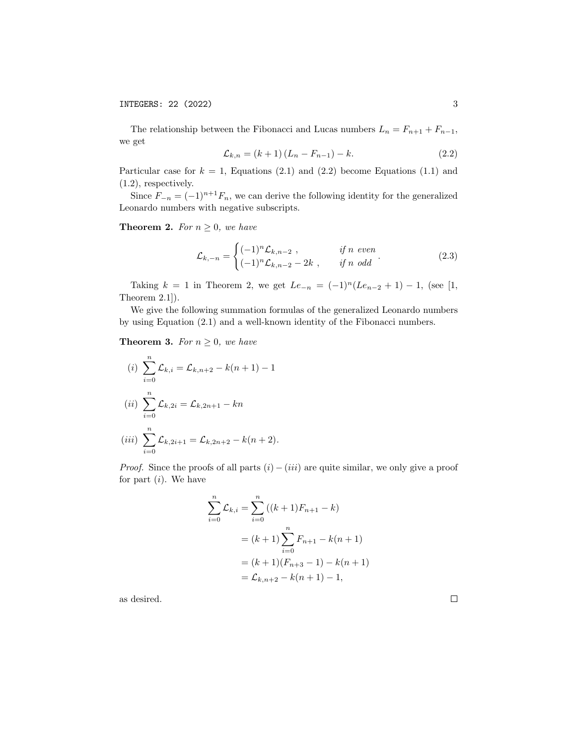INTEGERS: 22 (2022) 3

The relationship between the Fibonacci and Lucas numbers  $L_n = F_{n+1} + F_{n-1}$ , we get

$$
\mathcal{L}_{k,n} = (k+1)(L_n - F_{n-1}) - k. \tag{2.2}
$$

Particular case for  $k = 1$ , Equations (2.1) and (2.2) become Equations (1.1) and (1.2), respectively.

Since  $F_{-n} = (-1)^{n+1}F_n$ , we can derive the following identity for the generalized Leonardo numbers with negative subscripts.

**Theorem 2.** For  $n \geq 0$ , we have

$$
\mathcal{L}_{k,-n} = \begin{cases}\n(-1)^n \mathcal{L}_{k,n-2} , & \text{if } n \text{ even} \\
(-1)^n \mathcal{L}_{k,n-2} - 2k , & \text{if } n \text{ odd}\n\end{cases}.
$$
\n(2.3)

Taking  $k = 1$  in Theorem 2, we get  $Le_{-n} = (-1)^n (Le_{n-2} + 1) - 1$ , (see [1, Theorem 2.1]).

We give the following summation formulas of the generalized Leonardo numbers by using Equation (2.1) and a well-known identity of the Fibonacci numbers.

**Theorem 3.** For  $n \geq 0$ , we have

(i) 
$$
\sum_{i=0}^{n} \mathcal{L}_{k,i} = \mathcal{L}_{k,n+2} - k(n+1) - 1
$$
  
\n(ii) 
$$
\sum_{i=0}^{n} \mathcal{L}_{k,2i} = \mathcal{L}_{k,2n+1} - kn
$$
  
\n(iii) 
$$
\sum_{i=0}^{n} \mathcal{L}_{k,2i+1} = \mathcal{L}_{k,2n+2} - k(n+2).
$$

*Proof.* Since the proofs of all parts  $(i) - (iii)$  are quite similar, we only give a proof for part  $(i)$ . We have

$$
\sum_{i=0}^{n} \mathcal{L}_{k,i} = \sum_{i=0}^{n} ((k+1)F_{n+1} - k)
$$
  
=  $(k+1) \sum_{i=0}^{n} F_{n+1} - k(n+1)$   
=  $(k+1)(F_{n+3} - 1) - k(n+1)$   
=  $\mathcal{L}_{k,n+2} - k(n+1) - 1$ ,

as desired.

 $\Box$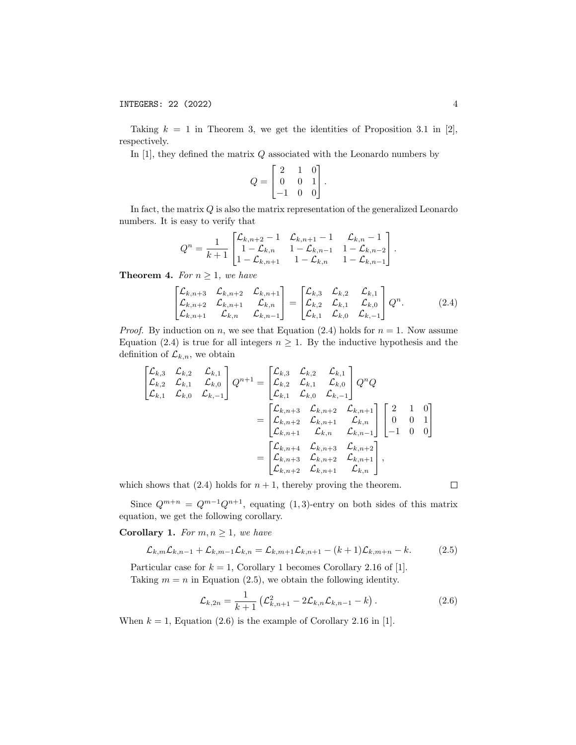Taking  $k = 1$  in Theorem 3, we get the identities of Proposition 3.1 in [2], respectively.

In  $[1]$ , they defined the matrix  $Q$  associated with the Leonardo numbers by

$$
Q = \begin{bmatrix} 2 & 1 & 0 \\ 0 & 0 & 1 \\ -1 & 0 & 0 \end{bmatrix}.
$$

In fact, the matrix  $Q$  is also the matrix representation of the generalized Leonardo numbers. It is easy to verify that

$$
Q^{n} = \frac{1}{k+1} \begin{bmatrix} \mathcal{L}_{k,n+2} - 1 & \mathcal{L}_{k,n+1} - 1 & \mathcal{L}_{k,n} - 1 \\ 1 - \mathcal{L}_{k,n} & 1 - \mathcal{L}_{k,n-1} & 1 - \mathcal{L}_{k,n-2} \\ 1 - \mathcal{L}_{k,n+1} & 1 - \mathcal{L}_{k,n} & 1 - \mathcal{L}_{k,n-1} \end{bmatrix}.
$$

**Theorem 4.** For  $n \geq 1$ , we have

$$
\begin{bmatrix} \mathcal{L}_{k,n+3} & \mathcal{L}_{k,n+2} & \mathcal{L}_{k,n+1} \\ \mathcal{L}_{k,n+2} & \mathcal{L}_{k,n+1} & \mathcal{L}_{k,n} \\ \mathcal{L}_{k,n+1} & \mathcal{L}_{k,n} & \mathcal{L}_{k,n-1} \end{bmatrix} = \begin{bmatrix} \mathcal{L}_{k,3} & \mathcal{L}_{k,2} & \mathcal{L}_{k,1} \\ \mathcal{L}_{k,2} & \mathcal{L}_{k,1} & \mathcal{L}_{k,0} \\ \mathcal{L}_{k,1} & \mathcal{L}_{k,0} & \mathcal{L}_{k,-1} \end{bmatrix} Q^n.
$$
 (2.4)

*Proof.* By induction on n, we see that Equation (2.4) holds for  $n = 1$ . Now assume Equation (2.4) is true for all integers  $n \geq 1$ . By the inductive hypothesis and the definition of  $\mathcal{L}_{k,n}$ , we obtain

$$
\begin{bmatrix}\n\mathcal{L}_{k,3} & \mathcal{L}_{k,2} & \mathcal{L}_{k,1} \\
\mathcal{L}_{k,2} & \mathcal{L}_{k,1} & \mathcal{L}_{k,0} \\
\mathcal{L}_{k,1} & \mathcal{L}_{k,0} & \mathcal{L}_{k,-1}\n\end{bmatrix} Q^{n+1} = \begin{bmatrix}\n\mathcal{L}_{k,3} & \mathcal{L}_{k,2} & \mathcal{L}_{k,1} \\
\mathcal{L}_{k,2} & \mathcal{L}_{k,1} & \mathcal{L}_{k,0} \\
\mathcal{L}_{k,1} & \mathcal{L}_{k,0} & \mathcal{L}_{k,-1}\n\end{bmatrix} Q^{n} Q
$$
\n
$$
= \begin{bmatrix}\n\mathcal{L}_{k,n+3} & \mathcal{L}_{k,n+2} & \mathcal{L}_{k,n+1} \\
\mathcal{L}_{k,n+2} & \mathcal{L}_{k,n+1} & \mathcal{L}_{k,n} \\
\mathcal{L}_{k,n+1} & \mathcal{L}_{k,n} & \mathcal{L}_{k,n-1}\n\end{bmatrix} \begin{bmatrix}\n2 & 1 & 0 \\
0 & 0 & 1 \\
-1 & 0 & 0\n\end{bmatrix}
$$
\n
$$
= \begin{bmatrix}\n\mathcal{L}_{k,n+4} & \mathcal{L}_{k,n+3} & \mathcal{L}_{k,n+2} \\
\mathcal{L}_{k,n+3} & \mathcal{L}_{k,n+3} & \mathcal{L}_{k,n+2} \\
\mathcal{L}_{k,n+2} & \mathcal{L}_{k,n+1} & \mathcal{L}_{k,n}\n\end{bmatrix},
$$

which shows that  $(2.4)$  holds for  $n + 1$ , thereby proving the theorem.

 $\Box$ 

Since  $Q^{m+n} = Q^{m-1}Q^{n+1}$ , equating (1,3)-entry on both sides of this matrix equation, we get the following corollary.

**Corollary 1.** For  $m, n \geq 1$ , we have

$$
\mathcal{L}_{k,m}\mathcal{L}_{k,n-1} + \mathcal{L}_{k,m-1}\mathcal{L}_{k,n} = \mathcal{L}_{k,m+1}\mathcal{L}_{k,n+1} - (k+1)\mathcal{L}_{k,m+n} - k.
$$
 (2.5)

Particular case for  $k = 1$ , Corollary 1 becomes Corollary 2.16 of [1]. Taking  $m = n$  in Equation (2.5), we obtain the following identity.

$$
\mathcal{L}_{k,2n} = \frac{1}{k+1} \left( \mathcal{L}_{k,n+1}^2 - 2\mathcal{L}_{k,n}\mathcal{L}_{k,n-1} - k \right).
$$
 (2.6)

When  $k = 1$ , Equation (2.6) is the example of Corollary 2.16 in [1].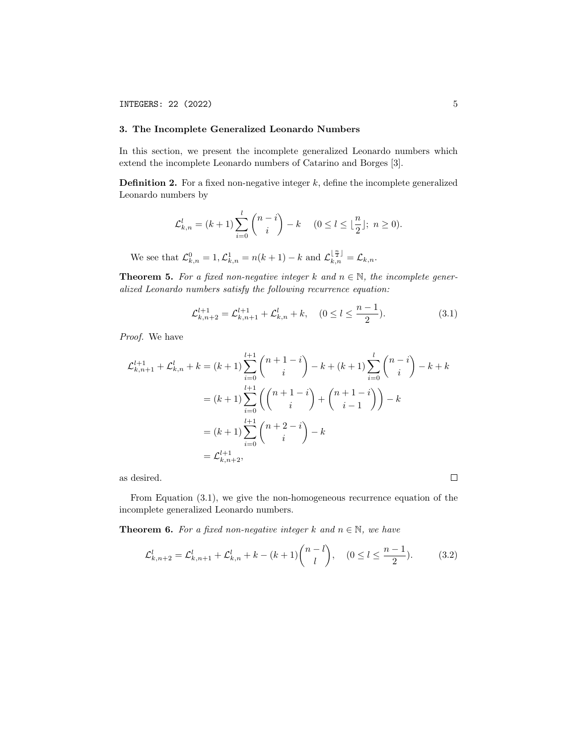# 3. The Incomplete Generalized Leonardo Numbers

In this section, we present the incomplete generalized Leonardo numbers which extend the incomplete Leonardo numbers of Catarino and Borges [3].

**Definition 2.** For a fixed non-negative integer  $k$ , define the incomplete generalized Leonardo numbers by

$$
\mathcal{L}_{k,n}^l = (k+1) \sum_{i=0}^l \binom{n-i}{i} - k \quad (0 \le l \le \lfloor \frac{n}{2} \rfloor; \ n \ge 0).
$$

We see that  $\mathcal{L}_{k,n}^0 = 1, \mathcal{L}_{k,n}^1 = n(k+1) - k$  and  $\mathcal{L}_{k,n}^{\lfloor \frac{n}{2} \rfloor} = \mathcal{L}_{k,n}$ .

**Theorem 5.** For a fixed non-negative integer k and  $n \in \mathbb{N}$ , the incomplete generalized Leonardo numbers satisfy the following recurrence equation:

$$
\mathcal{L}_{k,n+2}^{l+1} = \mathcal{L}_{k,n+1}^{l+1} + \mathcal{L}_{k,n}^{l} + k, \quad (0 \le l \le \frac{n-1}{2}).
$$
\n(3.1)

Proof. We have

$$
\mathcal{L}_{k,n+1}^{l+1} + \mathcal{L}_{k,n}^{l} + k = (k+1) \sum_{i=0}^{l+1} {n+1-i \choose i} - k + (k+1) \sum_{i=0}^{l} {n-i \choose i} - k + k
$$
  

$$
= (k+1) \sum_{i=0}^{l+1} \left( {n+1-i \choose i} + {n+1-i \choose i-1} \right) - k
$$
  

$$
= (k+1) \sum_{i=0}^{l+1} {n+2-i \choose i} - k
$$
  

$$
= \mathcal{L}_{k,n+2}^{l+1},
$$

as desired.

From Equation (3.1), we give the non-homogeneous recurrence equation of the incomplete generalized Leonardo numbers.

**Theorem 6.** For a fixed non-negative integer k and  $n \in \mathbb{N}$ , we have

$$
\mathcal{L}_{k,n+2}^l = \mathcal{L}_{k,n+1}^l + \mathcal{L}_{k,n}^l + k - (k+1) \binom{n-l}{l}, \quad (0 \le l \le \frac{n-1}{2}).\tag{3.2}
$$

 $\Box$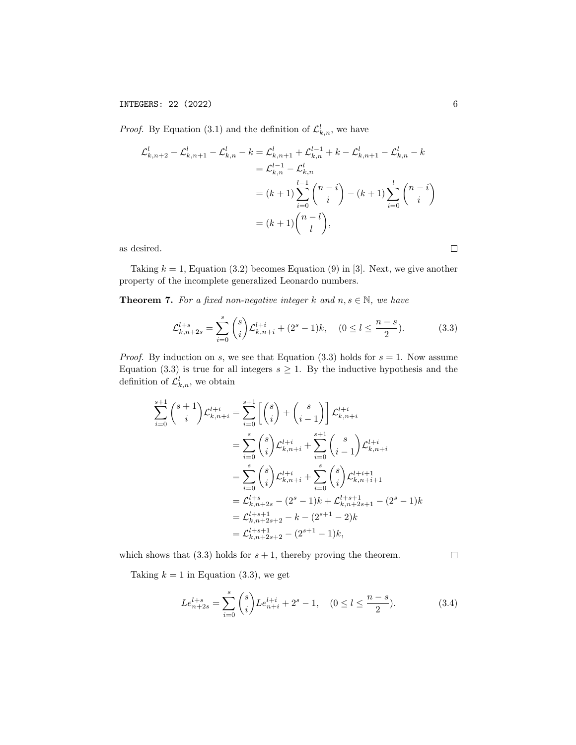INTEGERS: 22 (2022) 6

*Proof.* By Equation (3.1) and the definition of  $\mathcal{L}_{k,n}^l$ , we have

$$
\mathcal{L}_{k,n+2}^{l} - \mathcal{L}_{k,n+1}^{l} - \mathcal{L}_{k,n}^{l} - k = \mathcal{L}_{k,n+1}^{l} + \mathcal{L}_{k,n}^{l-1} + k - \mathcal{L}_{k,n+1}^{l} - \mathcal{L}_{k,n}^{l} - k
$$
  

$$
= \mathcal{L}_{k,n}^{l-1} - \mathcal{L}_{k,n}^{l}
$$
  

$$
= (k+1) \sum_{i=0}^{l-1} {n-i \choose i} - (k+1) \sum_{i=0}^{l} {n-i \choose i}
$$
  

$$
= (k+1){n-l \choose l},
$$

as desired.

Taking  $k = 1$ , Equation (3.2) becomes Equation (9) in [3]. Next, we give another property of the incomplete generalized Leonardo numbers.

**Theorem 7.** For a fixed non-negative integer k and  $n, s \in \mathbb{N}$ , we have

$$
\mathcal{L}_{k,n+2s}^{l+s} = \sum_{i=0}^{s} \binom{s}{i} \mathcal{L}_{k,n+i}^{l+i} + (2^s - 1)k, \quad (0 \le l \le \frac{n-s}{2}).\tag{3.3}
$$

*Proof.* By induction on s, we see that Equation (3.3) holds for  $s = 1$ . Now assume Equation (3.3) is true for all integers  $s \geq 1$ . By the inductive hypothesis and the definition of  $\mathcal{L}^l_{k,n}$ , we obtain

$$
\sum_{i=0}^{s+1} {s+1 \choose i} \mathcal{L}_{k,n+i}^{l+i} = \sum_{i=0}^{s+1} \left[ {s \choose i} + {s \choose i-1} \right] \mathcal{L}_{k,n+i}^{l+i}
$$
  

$$
= \sum_{i=0}^{s} {s \choose i} \mathcal{L}_{k,n+i}^{l+i} + \sum_{i=0}^{s+1} {s \choose i-1} \mathcal{L}_{k,n+i}^{l+i}
$$
  

$$
= \sum_{i=0}^{s} {s \choose i} \mathcal{L}_{k,n+i}^{l+i} + \sum_{i=0}^{s} {s \choose i} \mathcal{L}_{k,n+i+1}^{l+i+1}
$$
  

$$
= \mathcal{L}_{k,n+2s}^{l+s} - (2^s - 1)k + \mathcal{L}_{k,n+2s+1}^{l+s+1} - (2^s - 1)k
$$
  

$$
= \mathcal{L}_{k,n+2s+2}^{l+s+1} - k - (2^{s+1} - 2)k
$$
  

$$
= \mathcal{L}_{k,n+2s+2}^{l+s+1} - (2^{s+1} - 1)k,
$$

which shows that  $(3.3)$  holds for  $s + 1$ , thereby proving the theorem.

 $\Box$ 

Taking  $k = 1$  in Equation (3.3), we get

$$
Le_{n+2s}^{l+s} = \sum_{i=0}^{s} \binom{s}{i} Le_{n+i}^{l+i} + 2^s - 1, \quad (0 \le l \le \frac{n-s}{2}).
$$
 (3.4)

 $\Box$